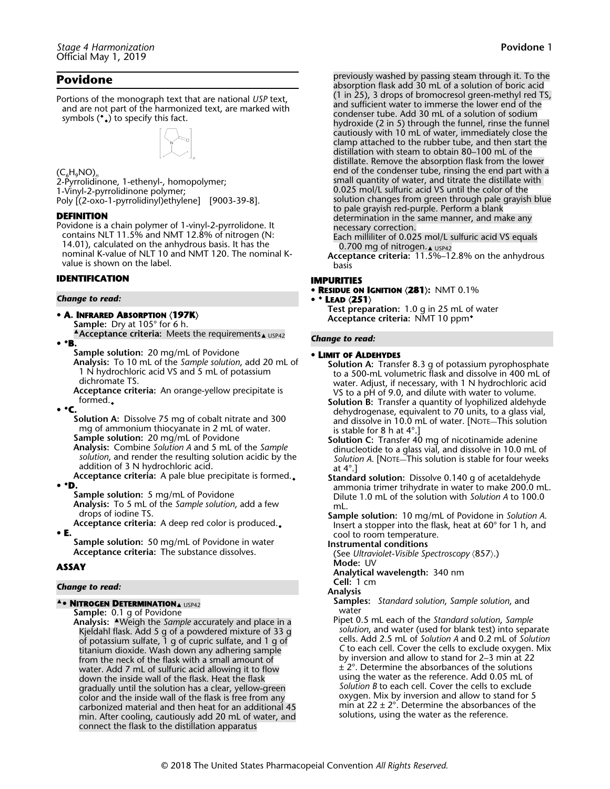# **Povidone** 1

# **Povidone**

Portions of the monograph text that are national *USP* text, and are not part of the harmonized text, are marked with symbols (◆ ◆) to specify this fact.



### (C6H9NO)*<sup>n</sup>*

2-Pyrrolidinone, 1-ethenyl-, homopolymer; 1-Vinyl-2-pyrrolidinone polymer; Poly [(2-oxo-1-pyrrolidinyl)ethylene] [9003-39-8].

### **DEFINITION**

Povidone is a chain polymer of 1-vinyl-2-pyrrolidone. It contains NLT 11.5% and NMT 12.8% of nitrogen (N: 14.01), calculated on the anhydrous basis. It has the nominal K-value of NLT 10 and NMT 120. The nominal Kvalue is shown on the label.

### **IDENTIFICATION**

#### *Change to read:*

- **A. INFRARED ABSORPTION**  $\langle$ **197K** $\rangle$ 
	- **Sample:** Dry at 105° for 6 h.
- **Acceptance criteria:** Meets the requirements▲ USP42 **•** ◆**B.**

**Sample solution:** 20 mg/mL of Povidone

**Analysis:** To 10 mL of the *Sample solution*, add 20 mL of 1 N hydrochloric acid VS and 5 mL of potassium dichromate TS.

**Acceptance criteria:** An orange-yellow precipitate is formed. $\Box$ 

**•** ◆**C.**

**Solution A:** Dissolve 75 mg of cobalt nitrate and 300 mg of ammonium thiocyanate in 2 mL of water. **Sample solution:** 20 mg/mL of Povidone **Analysis:** Combine *Solution A* and 5 mL of the *Sample solution*, and render the resulting solution acidic by the addition of 3 N hydrochloric acid.

**Acceptance criteria:** A pale blue precipitate is formed.◆ **•** ◆**D.**

**Sample solution:** 5 mg/mL of Povidone **Analysis:** To 5 mL of the *Sample solution*, add a few drops of iodine TS.

**Acceptance criteria:** A deep red color is produced.◆ **• E.**

**Sample solution:** 50 mg/mL of Povidone in water **Acceptance criteria:** The substance dissolves.

### **ASSAY**

### *Change to read:*

### ▲**• NITROGEN DETERMINATION**▲ USP42

**Sample:** 0.1 g of Povidone **Analysis:** ▲Weigh the *Sample* accurately and place in a Kjeldahl flask. Add 5 g of a powdered mixture of 33 g of potassium sulfate, 1 g of cupric sulfate, and 1 g of titanium dioxide. Wash down any adhering sample from the neck of the flask with a small amount of water. Add 7 mL of sulfuric acid allowing it to flow down the inside wall of the flask. Heat the flask gradually until the solution has a clear, yellow-green color and the inside wall of the flask is free from any carbonized material and then heat for an additional 45 min. After cooling, cautiously add 20 mL of water, and connect the flask to the distillation apparatus

previously washed by passing steam through it. To the absorption flask add 30 mL of a solution of boric acid (1 in 25), 3 drops of bromocresol green-methyl red TS, and sufficient water to immerse the lower end of the condenser tube. Add 30 mL of a solution of sodium hydroxide (2 in 5) through the funnel, rinse the funnel cautiously with 10 mL of water, immediately close the clamp attached to the rubber tube, and then start the distillation with steam to obtain 80–100 mL of the distillate. Remove the absorption flask from the lower end of the condenser tube, rinsing the end part with a small quantity of water, and titrate the distillate with 0.025 mol/L sulfuric acid VS until the color of the solution changes from green through pale grayish blue to pale grayish red-purple. Perform a blank determination in the same manner, and make any necessary correction.

Each milliliter of 0.025 mol/L sulfuric acid VS equals 0.700 mg of nitrogen.▲ USP42

**Acceptance criteria:** 11.5%–12.8% on the anhydrous basis

### **IMPURITIES**

**• RESIDUE ON IGNITION** á**281**ñ**:** NMT 0.1%

**•** ◆ **LEAD** á**251**ñ

**Test preparation:** 1.0 g in 25 mL of water **Acceptance criteria:** NMT 10 ppm◆

#### *Change to read:*

### **• LIMIT OF ALDEHYDES**

- **Solution A:** Transfer 8.3 g of potassium pyrophosphate to a 500-mL volumetric flask and dissolve in 400 mL of water. Adjust, if necessary, with 1 N hydrochloric acid VS to a pH of 9.0, and dilute with water to volume.
- **Solution B:** Transfer a quantity of lyophilized aldehyde dehydrogenase, equivalent to 70 units, to a glass vial, and dissolve in 10.0 mL of water. [NOTE—This solution is stable for 8 h at 4°.]
- **Solution C:** Transfer 40 mg of nicotinamide adenine dinucleotide to a glass vial, and dissolve in 10.0 mL of *Solution A*. [NOTE—This solution is stable for four weeks at 4°.]
- **Standard solution:** Dissolve 0.140 g of acetaldehyde ammonia trimer trihydrate in water to make 200.0 mL. Dilute 1.0 mL of the solution with *Solution A* to 100.0 mL.

**Sample solution:** 10 mg/mL of Povidone in *Solution A*. Insert a stopper into the flask, heat at 60° for 1 h, and cool to room temperature.

- **Instrumental conditions**
- (See Ultraviolet-Visible Spectroscopy  $(857).$ ) **Mode:** UV

**Analytical wavelength:** 340 nm **Cell:** 1 cm

- **Analysis**
- **Samples:** *Standard solution*, *Sample solution*, and water
- Pipet 0.5 mL each of the *Standard solution*, *Sample solution*, and water (used for blank test) into separate cells. Add 2.5 mL of *Solution A* and 0.2 mL of *Solution C* to each cell. Cover the cells to exclude oxygen. Mix by inversion and allow to stand for 2–3 min at 22 ± 2°. Determine the absorbances of the solutions using the water as the reference. Add 0.05 mL of *Solution B* to each cell. Cover the cells to exclude oxygen. Mix by inversion and allow to stand for 5 min at  $22 \pm 2^{\circ}$ . Determine the absorbances of the solutions, using the water as the reference.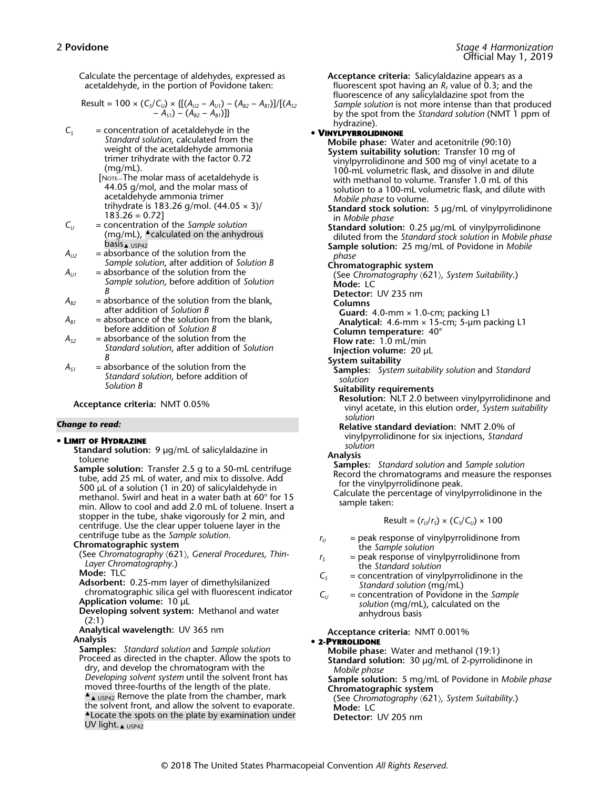Calculate the percentage of aldehydes, expressed as acetaldehyde, in the portion of Povidone taken:

Result = 100 × 
$$
(C_5/C_{U})
$$
 ×  $\{[(A_{U2} - A_{U1}) - (A_{B2} - A_{B1})]/[(A_{52} - A_{51}) - (A_{B2} - A_{B1})]\}$ 

- $C<sub>S</sub>$  = concentration of acetaldehyde in the *Standard solution*, calculated from the weight of the acetaldehyde ammonia trimer trihydrate with the factor 0.72 (mg/mL).
	- [NOTE—The molar mass of acetaldehyde is 44.05 g/mol, and the molar mass of acetaldehyde ammonia trimer trihydrate is 183.26 g/mol.  $(44.05 \times 3)$ /  $183.26 = 0.72$
- *C<sup>U</sup>* = concentration of the *Sample solution* (mg/mL), ▲calculated on the anhydrous basis<sub>▲ USP42</sub>
- $A_{U2}$  = absorbance of the solution from the *Sample solution*, after addition of *Solution B*
- $A_{U1}$  = absorbance of the solution from the *Sample solution*, before addition of *Solution B*
- $A_{B2}$  = absorbance of the solution from the blank, after addition of *Solution B*
- $A_{B1}$  = absorbance of the solution from the blank, before addition of *Solution B*
- $A_{s2}$  = absorbance of the solution from the *Standard solution*, after addition of *Solution B*
- $A_{s1}$  = absorbance of the solution from the *Standard solution*, before addition of *Solution B*

**Acceptance criteria:** NMT 0.05%

### *Change to read:*

### **• LIMIT OF HYDRAZINE**

**Standard solution:** 9 µg/mL of salicylaldazine in toluene

**Sample solution:** Transfer 2.5 g to a 50-mL centrifuge tube, add 25 mL of water, and mix to dissolve. Add 500 µL of a solution (1 in 20) of salicylaldehyde in methanol. Swirl and heat in a water bath at 60° for 15 min. Allow to cool and add 2.0 mL of toluene. Insert a stopper in the tube, shake vigorously for 2 min, and centrifuge. Use the clear upper toluene layer in the centrifuge tube as the *Sample solution*.

### **Chromatographic system**

(See Chromatography  $(621)$ , General Procedures, Thin-*Layer Chromatography*.)

**Mode:** TLC

**Adsorbent:** 0.25-mm layer of dimethylsilanized chromatographic silica gel with fluorescent indicator **Application volume:** 10 µL

**Developing solvent system:** Methanol and water (2:1)

**Analytical wavelength:** UV 365 nm **Analysis**

**Samples:** *Standard solution* and *Sample solution* Proceed as directed in the chapter. Allow the spots to dry, and develop the chromatogram with the *Developing solvent system* until the solvent front has moved three-fourths of the length of the plate.  $\triangle$   $\triangle$  USP42 Remove the plate from the chamber, mark the solvent front, and allow the solvent to evaporate. ▲Locate the spots on the plate by examination under UV light.<sub>▲ USP42</sub>

**Acceptance criteria:** Salicylaldazine appears as a fluorescent spot having an  $R_{\scriptscriptstyle F}$  value of 0.3; and the fluorescence of any salicylaldazine spot from the *Sample solution* is not more intense than that produced by the spot from the *Standard solution* (NMT 1 ppm of hydrazine).

# **• VINYLPYRROLIDINONE**

**Mobile phase:** Water and acetonitrile (90:10) **System suitability solution:** Transfer 10 mg of vinylpyrrolidinone and 500 mg of vinyl acetate to a 100-mL volumetric flask, and dissolve in and dilute with methanol to volume. Transfer 1.0 mL of this solution to a 100-mL volumetric flask, and dilute with *Mobile phase* to volume. **Standard stock solution:** 5 µg/mL of vinylpyrrolidinone in *Mobile phase* **Standard solution:** 0.25 µg/mL of vinylpyrrolidinone diluted from the *Standard stock solution* in *Mobile phase* **Sample solution:** 25 mg/mL of Povidone in *Mobile phase* **Chromatographic system** (See Chromatography  $(621)$ , System Suitability.) **Mode:** LC **Detector:** UV 235 nm **Columns Guard:** 4.0-mm × 1.0-cm; packing L1 **Analytical:** 4.6-mm × 15-cm; 5-µm packing L1 **Column temperature:** 40° **Flow rate:** 1.0 mL/min **Injection volume:** 20 µL **System suitability Samples:** *System suitability solution* and *Standard solution* **Suitability requirements Resolution:** NLT 2.0 between vinylpyrrolidinone and vinyl acetate, in this elution order, *System suitability solution* **Relative standard deviation:** NMT 2.0% of vinylpyrrolidinone for six injections, *Standard solution* **Analysis Samples:** *Standard solution* and *Sample solution* Record the chromatograms and measure the responses for the vinylpyrrolidinone peak. Calculate the percentage of vinylpyrrolidinone in the sample taken:  $Result = (r_U/r_S) \times (C_S/C_U) \times 100$ 

- $r_U$  = peak response of vinylpyrrolidinone from the *Sample solution*
- $r<sub>S</sub>$  = peak response of vinylpyrrolidinone from the *Standard solution*
- $C<sub>S</sub>$  = concentration of vinylpyrrolidinone in the *Standard solution* (mg/mL)
- *C<sup>U</sup>* = concentration of Povidone in the *Sample solution* (mg/mL), calculated on the anhydrous basis

**Acceptance criteria:** NMT 0.001%

**• 2-PYRROLIDONE**

**Mobile phase:** Water and methanol (19:1) **Standard solution:** 30 µg/mL of 2-pyrrolidinone in *Mobile phase*

Sample solution: 5 mg/mL of Povidone in *Mobile phase* **Chromatographic system**

(See *Chromatography* á621ñ*, System Suitability*.) **Mode:** LC

**Detector:** UV 205 nm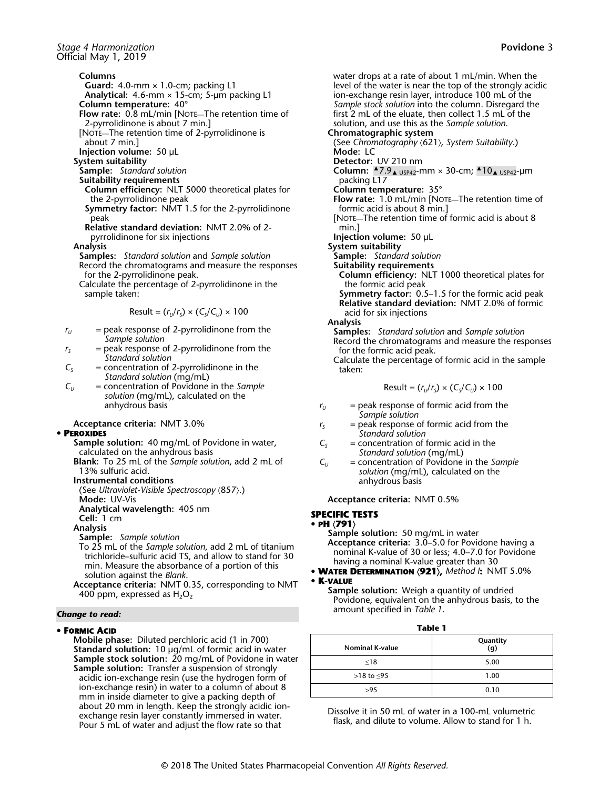### **Columns**

**Guard:** 4.0-mm × 1.0-cm; packing L1

**Analytical:** 4.6-mm × 15-cm; 5-µm packing L1

- **Column temperature:** 40°
- **Flow rate:** 0.8 mL/min [NOTE—The retention time of 2-pyrrolidinone is about 7 min.]
- [NOTE—The retention time of 2-pyrrolidinone is about 7 min.]

**Injection volume:** 50 µL

- **System suitability**
- **Sample:** *Standard solution*
- **Suitability requirements**
	- **Column efficiency:** NLT 5000 theoretical plates for the 2-pyrrolidinone peak
	- **Symmetry factor:** NMT 1.5 for the 2-pyrrolidinone peak
- **Relative standard deviation:** NMT 2.0% of 2 pyrrolidinone for six injections

#### **Analysis**

- **Samples:** *Standard solution* and *Sample solution* Record the chromatograms and measure the responses
- for the 2-pyrrolidinone peak.
- Calculate the percentage of 2-pyrrolidinone in the sample taken:

$$
Result = (r_{U}/r_{S}) \times (C_{S}/C_{U}) \times 100
$$

- $r_U$  = peak response of 2-pyrrolidinone from the *Sample solution*
- $r<sub>S</sub>$  = peak response of 2-pyrrolidinone from the *Standard solution*
- $C<sub>S</sub>$  = concentration of 2-pyrrolidinone in the *Standard solution* (mg/mL)
- *C<sup>U</sup>* = concentration of Povidone in the *Sample solution* (mg/mL), calculated on the anhydrous basis

### **Acceptance criteria:** NMT 3.0%

### **• PEROXIDES**

- **Sample solution:** 40 mg/mL of Povidone in water, calculated on the anhydrous basis
- **Blank:** To 25 mL of the *Sample solution*, add 2 mL of 13% sulfuric acid.

**Instrumental conditions**

(See Ultraviolet-Visible Spectroscopy  $(857).$ )

**Mode:** UV-Vis **Analytical wavelength:** 405 nm

```
Cell: 1 cm
```
**Analysis**

- **Sample:** *Sample solution*
- To 25 mL of the *Sample solution*, add 2 mL of titanium trichloride–sulfuric acid TS, and allow to stand for 30 min. Measure the absorbance of a portion of this solution against the *Blank*.
- **Acceptance criteria:** NMT 0.35, corresponding to NMT 400 ppm, expressed as  $H_2O_2$

### *Change to read:*

### **• FORMIC ACID**

**Mobile phase:** Diluted perchloric acid (1 in 700) **Standard solution:** 10 µg/mL of formic acid in water **Sample stock solution:** 20 mg/mL of Povidone in water **Sample solution:** Transfer a suspension of strongly acidic ion-exchange resin (use the hydrogen form of ion-exchange resin) in water to a column of about 8 mm in inside diameter to give a packing depth of about 20 mm in length. Keep the strongly acidic ionexchange resin layer constantly immersed in water. Pour 5 mL of water and adjust the flow rate so that

water drops at a rate of about 1 mL/min. When the level of the water is near the top of the strongly acidic ion-exchange resin layer, introduce 100 mL of the *Sample stock solution* into the column. Disregard the first 2 mL of the eluate, then collect 1.5 mL of the solution, and use this as the *Sample solution*. **Chromatographic system** (See Chromatography  $(621)$ , System Suitability.) **Mode:** LC **Detector:** UV 210 nm **Column:** ▲7.9▲ USP42-mm × 30-cm; ▲10▲ USP42-µm packing L17 **Column temperature:** 35° **Flow rate:** 1.0 mL/min [NOTE—The retention time of formic acid is about 8 min.] [NOTE—The retention time of formic acid is about 8 min.] **Injection volume:** 50 µL **System suitability Sample:** *Standard solution* **Suitability requirements Column efficiency:** NLT 1000 theoretical plates for the formic acid peak **Symmetry factor:** 0.5–1.5 for the formic acid peak **Relative standard deviation:** NMT 2.0% of formic acid for six injections

**Analysis**

- **Samples:** *Standard solution* and *Sample solution*
- Record the chromatograms and measure the responses for the formic acid peak.

Calculate the percentage of formic acid in the sample taken:

$$
Result = (r_{U}/r_{S}) \times (C_{S}/C_{U}) \times 100
$$

- $r_U$  = peak response of formic acid from the *Sample solution*
- $r<sub>S</sub>$  = peak response of formic acid from the *Standard solution*
- $C<sub>S</sub>$  = concentration of formic acid in the *Standard solution* (mg/mL)
- *C<sup>U</sup>* = concentration of Povidone in the *Sample solution* (mg/mL), calculated on the anhydrous basis

**Acceptance criteria:** NMT 0.5%

# **SPECIFIC TESTS**

# **• PH** á**791**ñ

- **Sample solution:** 50 mg/mL in water **Acceptance criteria:** 3.0–5.0 for Povidone having a nominal K-value of 30 or less; 4.0–7.0 for Povidone having a nominal K-value greater than 30
- **WATER DETERMINATION** á**921**ñ**,** *Method I***:** NMT 5.0% **• K-VALUE**
- **Sample solution:** Weigh a quantity of undried Povidone, equivalent on the anhydrous basis, to the amount specified in *Table 1*.

**Table 1**

| <b>Nominal K-value</b> | Quantity<br>(g) |
|------------------------|-----------------|
| $\leq 18$              | 5.00            |
| >18 to $\leq$ 95       | 1.00            |
| >9.5                   | 0.10            |

Dissolve it in 50 mL of water in a 100-mL volumetric flask, and dilute to volume. Allow to stand for 1 h.